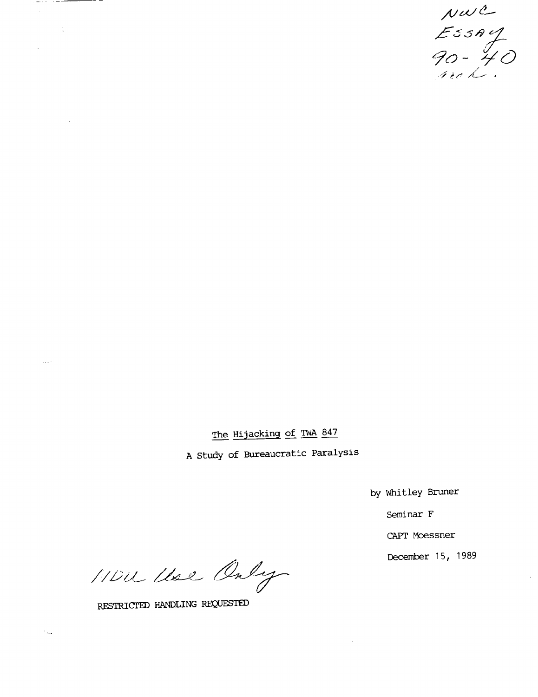$\n *two* 2\n *Ess* 4\n *90 - 40*\n\n *ne* 2\n *10*$ 

The Hijacking of TWA 847

A study of Bureaucratic Paralysis

by Whitley Bruner

Seminar F

CAPT Moessner

December 15, 1989

 $\sim$   $\sim$ 

MDU Use Only

RESTRICTED HANDLING REQUESTED

. \_. . . . . <del>\_ \_</del>

 $\sim 1$ 

 $\hat{\boldsymbol{\beta}}$ 

i.

 $\sim$  .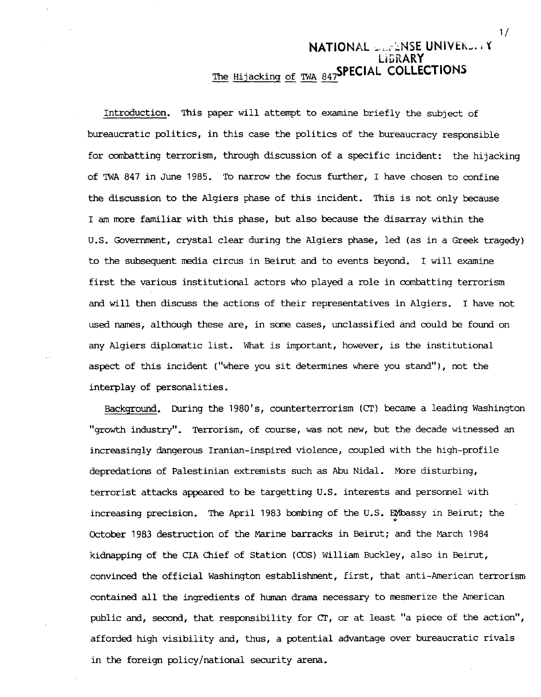## **NATIONAL SEPENSE UNIVERS. . Y L i 5 RARY**  The Hijacking of TWA 847SPECIAL COLLECTIONS

Introduction. This paper will attempt to examine briefly the subject of bureaucratic politics, in this case the politics of the bureaucracy responsible for combatting terrorism, through discussion of a specific incident: the hijacking of TWA 847 in June 1985. To narrow the focus further, I have chosen to confine the discussion to the Algiers phase of this incident. This is not only because I am more familiar with this phase, but also because the disarray within the U.S. Government, crystal clear during the Algiers phase, led (as in a Greek tragedy) to the subsequent media circus in Beirut and to events beyond. I will examine first the various institutional actors who played a role in combatting terrorism and will then discuss the actions of their representatives in Algiers. I have not used names, although these are, in some cases, unclassified and could be found on any Algiers diplomatic list. What is important, however, is the institutional aspect of this incident ("where you sit determines where you stand"), not the interplay of personalities.

Background. During the 1980's, counterterrorism (CT) became a leading Washington "growth industry". Terrorism, of course, was not new, but the decade witnessed an increasingly dangerous Iranian-inspired violence, coupled with the high-profile depredations of Palestinian extremists such as Abu Nidal. More disturbing, terrorist attacks appeared to be targetting U.S. interests and personnel with increasing precision. The April 1983 bombing of the U.S. EMbassy in Beirut; the October 1983 destruction of the Marine barracks in Beirut; and the March 1984 kidnapping of the CIA Chief of Station (COS) William Buckley, also in Beirut, convinced the official Washington establishment, first, that anti-American terrorism contained all the ingredients of human drama necessary to mesmerize the American public and, second, that responsibility for  $CT$ , or at least "a piece of the action", afforded high visibility and, thus, a potential advantage over bureaucratic rivals in the foreign policy/national security arena.

I/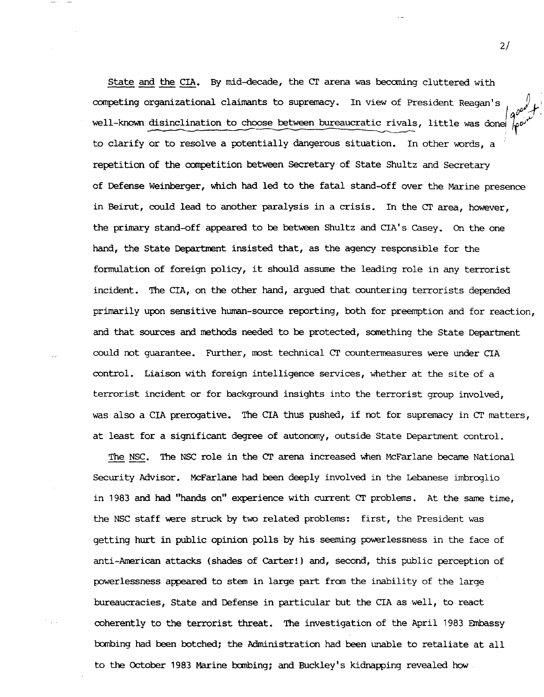State and the CIA. By mid-decade, the CT arena was becoming cluttered with competing organizational claimants to supremacy. In view of President Reagan's well-known disinclination to choose between bureaucratic rivals, little was done to clarify or to resolve a potentially dangerous situation. In other words, a repetition of the competition between Secretary of State Shultz and Secretary of Defense Weinberger, which had led to the fatal stand-off over the Marine presence in Beirut, could lead to another paralysis in a crisis. In the CT area, however, the primary stand-off appeared to be between Shultz and CIA's Casey. On the one hand, the State Department insisted that, as the agency responsible for the formulation of foreign policy, it should assume the leading role in any terrorist incident. The CIA, on the other hand, argued that countering terrorists depended primarily upon sensitive human-source reporting, both for preemption and for reaction, and that sources and methods needed to be protected, something the State Department could not guarantee. Further, most technical CT countermeasures were under CIA control. Liaison with foreign intelligence services, whether at the site of a terrorist incident or for background insights into the terrorist group involved, was also a CIA prerogative. The CIA thus pushed, if not for supremacy in CT matters, at least for a significant degree of autonomy, outside State Department control.

The NSC. The NSC role in the CT arena increased when McFarlane became National Security Advisor. McFarlane had been deeply involved in the Lebanese imbroglio in 1983 and had "hands on" experience with current CT problems. At the same time, the NSC staff were struck by two related problems: first, the President was getting hurt in public opinion polls by his seeming powerlessness in the face of anti-American attacks (shades of Carter! ) and, second, this public perception of powerlessness appeared to stem in large part from the inability of the large bureaucracies, State and Defense in particular but the CIA as well, to react coherently to the terrorist threat. The investigation of the April 1983 Embassy bombing had been botched; the Administration had been unable to retaliate at all to the October 1983 Marine bombing; and Buckley's kidnapping revealed how

**2/**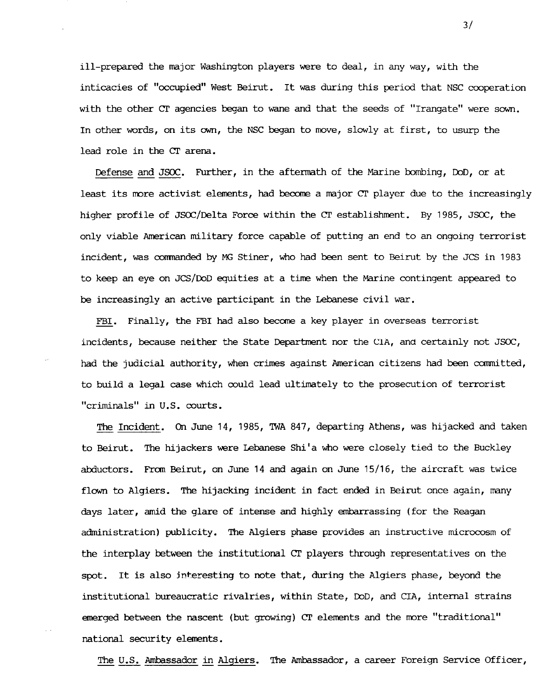ill-prepared the major Washington players were to deal, in any way, with the inticacies of "occupied" West Beirut. It was during this period that NSC cooperation with the other Cf agencies began to wane and that the seeds of "Irangate" were sown. In other words, on its own, the NSC began to move, slowly at first, to usurp the lead role in the CT arena.

Defense and JSOC. Further, in the aftermath of the Marine bombing, DoD, or at least its more activist elements, had become a major CT player due to the increasingly higher profile of JSOC/Delta Force within the Cf establishment. By 1985, JSOC, the only viable American military force capable of putting an end to an ongoing terrorist incident, was oommanded by MG Stiner, who had been sent to Beirut by the JCS in 1983 to keep an eye on JCS/DoD equities at a time when the Marine contingent appeared to be increasingly an active participant in the Lebanese civil war.

FBI. Finally, the FBI had also become a key player in overseas terrorist incidents, because neither the State Department nor the CIA, and certainly not JSOC, had the judicial authority, when crimes against American citizens had been committed, to build a legal case which oould lead ultimately to the prosecution of terrorist "criminals" in U.S. courts.

The Incident. On June 14, 1985, TWA 847, departing Athens, was hijacked and taken to Beirut. The hijackers were Lebanese Shi'a who were closely tied to the Buckley abductors. From Beirut, on June 14 and again on June 15/16, the aircraft was twice flown to Algiers. The hijacking incident in fact ended in Beirut once again, many days later, amid the glare of intense and highly embarrassing (for the Reagan administration) publicity. The Algiers phase provides an instructive microcosm of the interplay between the institutional CT players through representatives on the spot. It is also interesting to note that, during the Algiers phase, beyond the institutional bureaucratic rivalries, within State, DoD, and CIA, internal strains emerged between the nascent (but growing) CT elements and the more "traditional" national security elements.

The U.S. Ambassador in Algiers. The Ambassador, a career Foreign Service Officer,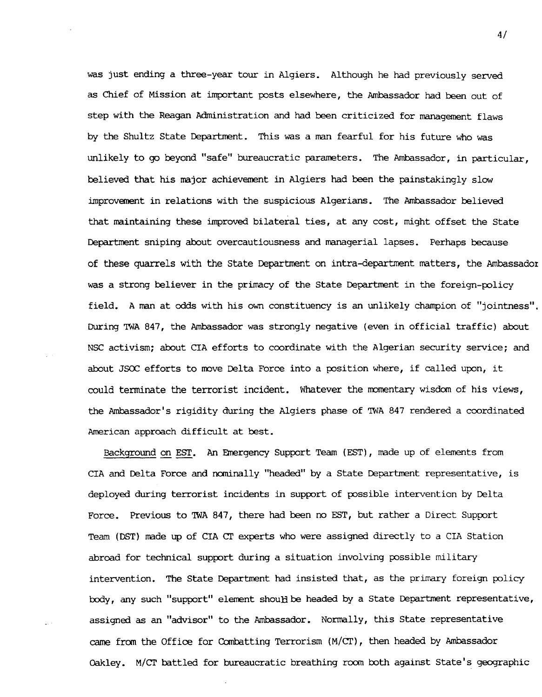was just ending a three-year tour in Algiers. Although he had previously served as Chief of Mission at important posts elsewhere, the Ambassador had been out of step with the Reagan Administration and had been criticized for management flaws by the Shultz State Department. This was a man fearful for his future who was unlikely to go beyond "safe" bureaucratic parameters. The Ambassador, in particular, believed that his major achievement in Algiers had been the painstakingly slow improvement in relations with the suspicious Algerians. The Ambassador believed that maintaining these improved bilateral ties, at any cost, might offset the State Department sniping about overcautiousness and managerial lapses. Perhaps because of these quarrels with the State Department on intra-department matters, the Ambassador was a strong believer in the primacy of the State Department in the foreign-policy field. A man at odds with his own constituency is an unlikely chanpion of "jointness". During TWA 847, the Ambassador was strongly negative (even in official traffic) about NSC activism; about CIA efforts to coordinate with the Algerian security service; and about JSOC efforts to move Delta Force into a position where, if called upon, it could terminate the terrorist incident. Whatever the momentary wisdom of his views, the Ambassador's rigidity during the Algiers phase of TWA 847 rendered a coordinated American approach difficult at best.

Background on EST. An Emergency Support Team (EST), made up of elements from CIA and Delta Force and nominally "headed" by a State Department representative, is deployed during terrorist incidents in support of possible intervention by Delta Force. Previous to qWA 847, there had been no EST, but rather a Direct Support Team (DST) made up of CIA CT experts who were assigned directly to a CIA Station abroad for technical support during a situation involving possible military intervention. The State Department had insisted that, as the primary foreign policy body, any such "support" element should be headed by a State Department representative, assigned as an "advisor" to the Ambassador. Normally, this State representative came from the Office for Combatting Terrorism (M/Cf), then headed by Ambassador Oakley. M/CT battled for bureaucratic breathing room both against State's geographic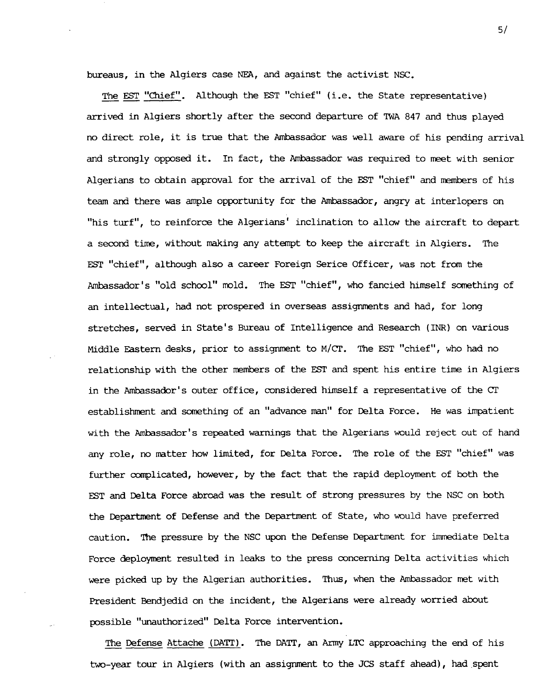bureaus, in the Algiers case NEA, and against the activist NSC.

The EST "Chief". Although the EST "chief" (i.e. the State representative) arrived in Algiers shortly after the second departure of TWA 847 and thus played no direct role, it is true that the Ambassador was well aware of his pending arrival and strongly opposed it. In fact, the Ambassador was required to meet with senior Algerians to obtain approval for the arrival of the EST "chief" and members of his team and there was ample opportunity for the Ambassador, angry at interlopers on "his turf", to reinforce the Algerians' inclination to allow the aircraft to depart a second time, without making any attempt to keep the aircraft in Algiers. The EST "chief", although also a career Foreign Serice Officer, was not from the Ambassador's "old school" mold. The EST "chief", who fancied himself something of an intellectual, had not prospered in overseas assignments and had, for long stretches, served in State's Bureau of Intelligence and Research (INR) on various Middle Pastern desks, prior to assignment to M/CT. The EST "chief", who had no relationship with the other members of the EST and spent his entire time in Algiers in the Ambassador's outer office, considered himself a representative of the CT establishment and something of an "advance man" for Delta Force. He was impatient with the Ambassador's repeated warnings that the Algerians would reject out of hand any role, no matter how limited, for Delta Force. The role of the EST "chief" was further complicated, however, by the fact that the rapid deployment of both the EST and Delta Force abroad was the result of strong pressures by the NSC on both the Department of Defense and the Department of State, who would have preferred caution. The pressure by the NSC upon the Defense Department for immediate Delta Force deployment resulted in leaks to the press concerning Delta activities which were picked up by the Algerian authorities. Thus, when the Ambassador met with President Bendjedid on the incident, the Algerians were already worried about possible "unauthorized" Delta Force intervention.

The Defense Attache (DATT). The DATT, an Army LTC approaching the end of his two-year tour in Algiers (with an assignment to the JCS staff ahead), had spent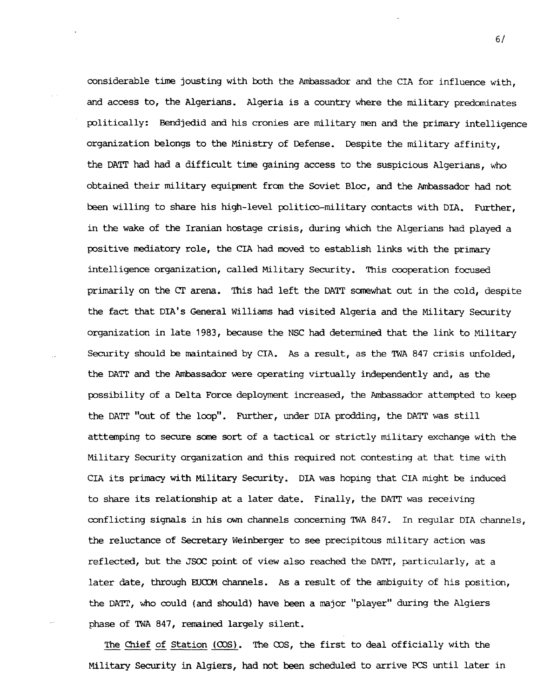considerable time jousting with both the Ambassador and the CIA for influence with, and access to, the Algerians. Algeria is a country where the military predominates politically: Bendjedid and his cronies are military men and the primary intelligence organization belongs to the Ministry of Defense. Despite the military affinity, the DATr had had a difficult time gaining access to the suspicious Algerians, who obtained their military equipment from the Soviet Bloc, and the Ambassador had not been willing to share his high-level politico-military contacts with DIA. Further, in the wake of the Iranian hostage crisis, during which the Algerians had played a positive mediatory role, the CIA had moved to establish links with the primary intelligence organization, called Military Security. This cooperation focused primarily on the CT arena. This had left the DATr somewhat out in the cold, despite the fact that DIA's General Williams had visited Algeria and the Military Security organization in late 1983, because the NSC had determined that the link to Militarj Security should be maintained by CIA. As a result, as the TWA 847 crisis unfolded, the DATr and the Ambassador were operating virtually independently and, as the possibility of a Delta Force deployment increased, the Ambassador attempted to keep the DATr "out of the loop". Further, under DIA prodding, the DATT was still atttemping to secure some sort of a tactical or strictly military exchange with the Military Security organization and this required not contesting at that time with CIA its primacy with Military Security. DIA was hoping that CIA might be induced to share its relationship at a later date. Finally, the DATT was receiving conflicting signals in his own channels concerning TWA 847. In regular DIA channels, the reluctance of Secretary Weinberger to see precipitous military action was reflected, but the JSOC point of view also reached the DATr, particularly, at a later date, through EUCOM channels. As a result of the ambiguity of his position, the DATT, who could (and should) have been a major "player" during the Algiers phase of TWA 847, remained largely silent.

The Chief of Station (COS). The COS, the first to deal officially with the Military Security in Algiers, had not been scheduled to arrive PCS until later in

**6/**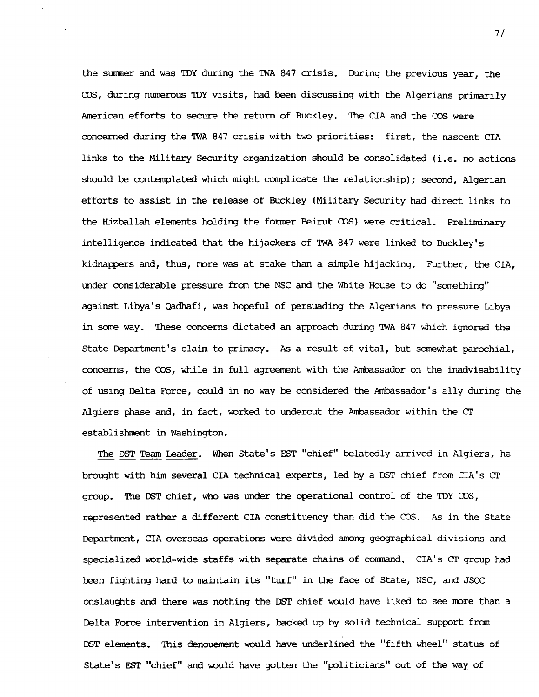the summer and was TDY during the TWA 847 crisis. During the previous year, the COS, during numerous TDY visits, had been discussing with the Algerians primarily American efforts to secure the return of Buckley. The CIA and the COS were concerned during the TWA 847 crisis with two priorities: first, the nascent CIA links to the Military Security organization should he consolidated (i.e. no actions should be contemplated which might complicate the relationship); second, Algerian efforts to assist in the release of Buckley (Military Security had direct links to the Hizballah elements holding the former Beirut COS) were critical. Preliminary intelligence indicated that the hijackers of TWA 847 were linked to Buckley's kidnappers and, thus, more was at stake than a simple hijacking. Further, the CIA, under considerable pressure from the NSC and the White House to do "something" against Libya's Qadhafi, was hopeful of persuading the Algerians to pressure Libya in some way. These concerns dictated an approach during TWA 847 which ignored the State Department's claim to primacy. As a result of vital, but somewhat parochial, concerns, the COS, while in full agreement with the Ambassador on the inadvisability of using Delta Force, could in no way he considered the Ambassador's ally during the Algiers phase and, in fact, worked to undercut the Ambassador within the CT establishment in Washington.

The DST Team leader. When State's EST "chief" belatedly arrived in Algiers, he brought with him several CIA technical experts, led by a DST chief from CIA's CT group. The DST chief, who was under the operational control of the TDY COS, represented rather a different CIA constituency than did the COS. As in the State Department, CIA overseas operations were divided among geographical divisions and specialized world-wide staffs with separate chains of command. CIA's CT group had been fighting hard to maintain its "turf" in the face of State, NSC, and JSOC onslaughts and there was nothing the DST chief would have liked to see more than a Delta Force intervention in Algiers, backed up by solid technical support from DST elements. This denouement would have underlined the "fifth wheel" status of State's EST "chief" and would have gotten the "politicians" out of the way of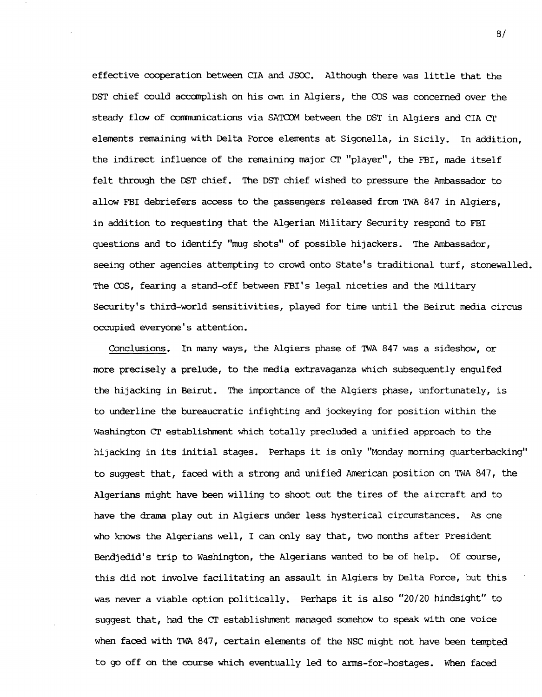effective cooperation between CIA and JSOC. Although there was little that the DST chief could accomplish on his own in Algiers, the COS was concerned over the steady flow of oommunications via SATCOM between the DST in Algiers and CIA CT elements remaining with Delta Force elements at Sigonella, in Sicily. In addition, the indirect influence of the remaining major CT "player", the FBI, made itself felt through the DST chief. The DST chief wished to pressure the Ambassador to allow FBI debriefers access to the passengers released from TWA 847 in Algiers, in addition to requesting that the Algerian Military Security respond to FBI questions and to identify "mug shots" of possible hijackers. The Ambassador, seeing other agencies attempting to crowd onto State's traditional turf, stonewalled. The OOS, fearing a stand-off between FBI's legal niceties and the Military Security's third-world sensitivities, played for time until the Beirut media circus occupied everyone' s attention.

Conclusions. In many ways, the Algiers phase of TWA 847 was a sideshow, or more precisely a prelude, to the media extravaganza which subsequently engulfed the hijacking in Beirut. The importance of the Algiers phase, unfortunately, is to underline the bureaucratic infighting and jockeying for position within the Washington CT establishment which totally precluded a unified approach to the hijacking in its initial stages. Perhaps it is only "Monday morning quarterbacking" to suggest that, faced with a strong and unified American position on TWA 847, the Algerians might have been willing to shoot out the tires of the aircraft and to have the drama play out in Algiers under less hysterical circumstances. As one who knows the Algerians well, I can only say that, two months after President Bendjedid's trip to Washington, the Algerians wanted to be of help. Of course, this did not involve facilitating an assault in Algiers by Delta Force, but this was never a viable option politically. Perhaps it is also "20/20 hindsight" to suggest that, had the CT establishment managed somehow to speak with one voice when faced with TWA 847, certain elements of the NSC might not have been tempted to go off on the course which eventually led to arms-for-hostages. When faced